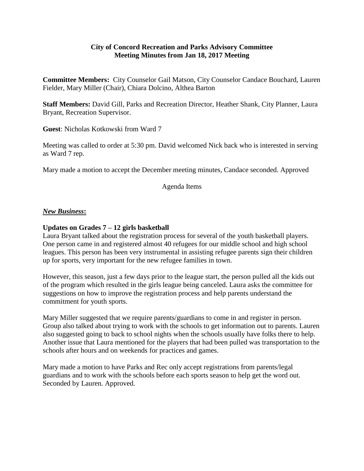### **City of Concord Recreation and Parks Advisory Committee Meeting Minutes from Jan 18, 2017 Meeting**

**Committee Members:** City Counselor Gail Matson, City Counselor Candace Bouchard, Lauren Fielder, Mary Miller (Chair), Chiara Dolcino, Althea Barton

**Staff Members:** David Gill, Parks and Recreation Director, Heather Shank, City Planner, Laura Bryant, Recreation Supervisor.

**Guest**: Nicholas Kotkowski from Ward 7

Meeting was called to order at 5:30 pm. David welcomed Nick back who is interested in serving as Ward 7 rep.

Mary made a motion to accept the December meeting minutes, Candace seconded. Approved

Agenda Items

### *New Business***:**

### **Updates on Grades 7 – 12 girls basketball**

Laura Bryant talked about the registration process for several of the youth basketball players. One person came in and registered almost 40 refugees for our middle school and high school leagues. This person has been very instrumental in assisting refugee parents sign their children up for sports, very important for the new refugee families in town.

However, this season, just a few days prior to the league start, the person pulled all the kids out of the program which resulted in the girls league being canceled. Laura asks the committee for suggestions on how to improve the registration process and help parents understand the commitment for youth sports.

Mary Miller suggested that we require parents/guardians to come in and register in person. Group also talked about trying to work with the schools to get information out to parents. Lauren also suggested going to back to school nights when the schools usually have folks there to help. Another issue that Laura mentioned for the players that had been pulled was transportation to the schools after hours and on weekends for practices and games.

Mary made a motion to have Parks and Rec only accept registrations from parents/legal guardians and to work with the schools before each sports season to help get the word out. Seconded by Lauren. Approved.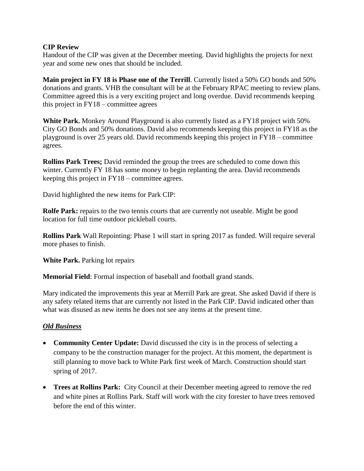## **CIP Review**

Handout of the CIP was given at the December meeting. David highlights the projects for next year and some new ones that should be included.

**Main project in FY 18 is Phase one of the Terrill**. Currently listed a 50% GO bonds and 50% donations and grants. VHB the consultant will be at the February RPAC meeting to review plans. Committee agreed this is a very exciting project and long overdue. David recommends keeping this project in FY18 – committee agrees

**White Park.** Monkey Around Playground is also currently listed as a FY18 project with 50% City GO Bonds and 50% donations. David also recommends keeping this project in FY18 as the playground is over 25 years old. David recommends keeping this project in FY18 – committee agrees.

**Rollins Park Trees;** David reminded the group the trees are scheduled to come down this winter. Currently FY 18 has some money to begin replanting the area. David recommends keeping this project in FY18 – committee agrees.

David highlighted the new items for Park CIP:

**Rolfe Park:** repairs to the two tennis courts that are currently not useable. Might be good location for full time outdoor pickleball courts.

**Rollins Park** Wall Repointing: Phase 1 will start in spring 2017 as funded. Will require several more phases to finish.

**White Park.** Parking lot repairs

**Memorial Field**: Formal inspection of baseball and football grand stands.

Mary indicated the improvements this year at Merrill Park are great. She asked David if there is any safety related items that are currently not listed in the Park CIP. David indicated other than what was disused as new items he does not see any items at the present time.

# *Old Business*

- **Community Center Update:** David discussed the city is in the process of selecting a company to be the construction manager for the project. At this moment, the department is still planning to move back to White Park first week of March. Construction should start spring of 2017.
- **Trees at Rollins Park:** City Council at their December meeting agreed to remove the red and white pines at Rollins Park. Staff will work with the city forester to have trees removed before the end of this winter.